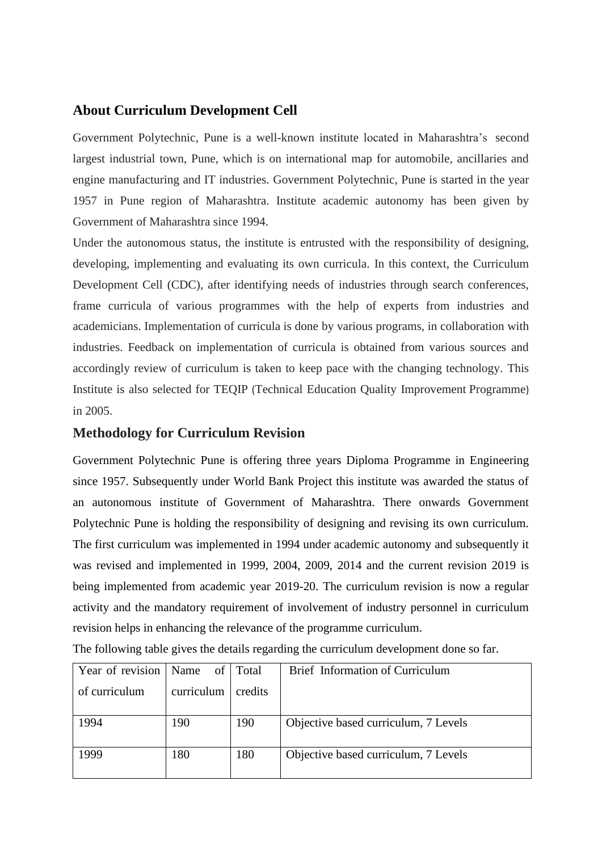#### **About Curriculum Development Cell**

Government Polytechnic, Pune is a well-known institute located in Maharashtra's second largest industrial town, Pune, which is on international map for automobile, ancillaries and engine manufacturing and IT industries. Government Polytechnic, Pune is started in the year 1957 in Pune region of Maharashtra. Institute academic autonomy has been given by Government of Maharashtra since 1994.

Under the autonomous status, the institute is entrusted with the responsibility of designing, developing, implementing and evaluating its own curricula. In this context, the Curriculum Development Cell (CDC), after identifying needs of industries through search conferences, frame curricula of various programmes with the help of experts from industries and academicians. Implementation of curricula is done by various programs, in collaboration with industries. Feedback on implementation of curricula is obtained from various sources and accordingly review of curriculum is taken to keep pace with the changing technology. This Institute is also selected for TEQIP (Technical Education Quality Improvement Programme) in 2005.

#### **Methodology for Curriculum Revision**

Government Polytechnic Pune is offering three years Diploma Programme in Engineering since 1957. Subsequently under World Bank Project this institute was awarded the status of an autonomous institute of Government of Maharashtra. There onwards Government Polytechnic Pune is holding the responsibility of designing and revising its own curriculum. The first curriculum was implemented in 1994 under academic autonomy and subsequently it was revised and implemented in 1999, 2004, 2009, 2014 and the current revision 2019 is being implemented from academic year 2019-20. The curriculum revision is now a regular activity and the mandatory requirement of involvement of industry personnel in curriculum revision helps in enhancing the relevance of the programme curriculum.

|  |  |  |  |  |  |  | The following table gives the details regarding the curriculum development done so far. |  |
|--|--|--|--|--|--|--|-----------------------------------------------------------------------------------------|--|
|--|--|--|--|--|--|--|-----------------------------------------------------------------------------------------|--|

| Year of revision | Name of Total |         | Brief Information of Curriculum      |
|------------------|---------------|---------|--------------------------------------|
| of curriculum    | curriculum    | credits |                                      |
| 1994             | 190           | 190     | Objective based curriculum, 7 Levels |
| 1999<br>180      |               | 180     | Objective based curriculum, 7 Levels |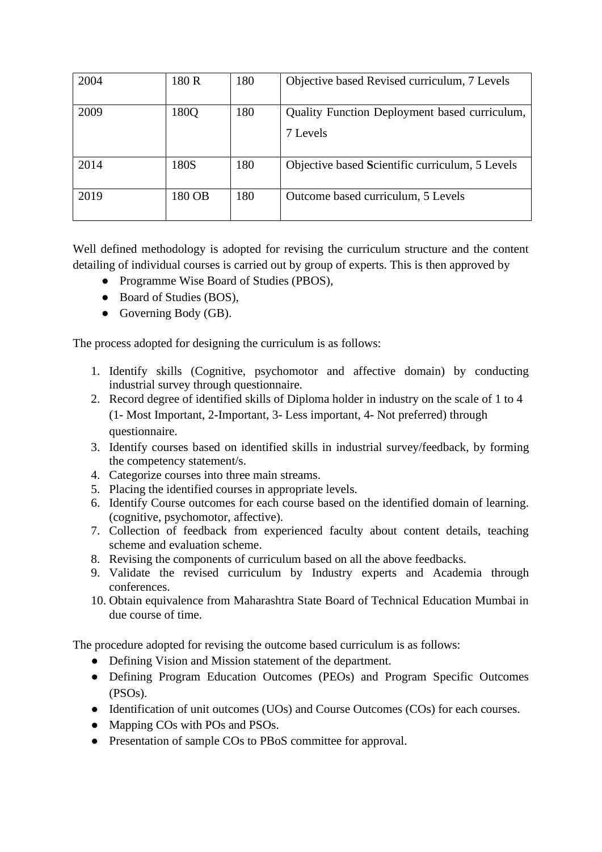| 2004 | 180 R  | 180 | Objective based Revised curriculum, 7 Levels              |
|------|--------|-----|-----------------------------------------------------------|
| 2009 | 180Q   | 180 | Quality Function Deployment based curriculum,<br>7 Levels |
| 2014 | 180S   | 180 | Objective based Scientific curriculum, 5 Levels           |
| 2019 | 180 OB | 180 | Outcome based curriculum, 5 Levels                        |

Well defined methodology is adopted for revising the curriculum structure and the content detailing of individual courses is carried out by group of experts. This is then approved by

- Programme Wise Board of Studies (PBOS),
- Board of Studies (BOS),
- Governing Body (GB).

The process adopted for designing the curriculum is as follows:

- 1. Identify skills (Cognitive, psychomotor and affective domain) by conducting industrial survey through questionnaire.
- 2. Record degree of identified skills of Diploma holder in industry on the scale of 1 to 4 (1- Most Important, 2-Important, 3- Less important, 4- Not preferred) through questionnaire.
- 3. Identify courses based on identified skills in industrial survey/feedback, by forming the competency statement/s.
- 4. Categorize courses into three main streams.
- 5. Placing the identified courses in appropriate levels.
- 6. Identify Course outcomes for each course based on the identified domain of learning. (cognitive, psychomotor, affective).
- 7. Collection of feedback from experienced faculty about content details, teaching scheme and evaluation scheme.
- 8. Revising the components of curriculum based on all the above feedbacks.
- 9. Validate the revised curriculum by Industry experts and Academia through conferences.
- 10. Obtain equivalence from Maharashtra State Board of Technical Education Mumbai in due course of time.

The procedure adopted for revising the outcome based curriculum is as follows:

- Defining Vision and Mission statement of the department.
- Defining Program Education Outcomes (PEOs) and Program Specific Outcomes (PSOs).
- Identification of unit outcomes (UOs) and Course Outcomes (COs) for each courses.
- Mapping COs with POs and PSOs.
- Presentation of sample COs to PBoS committee for approval.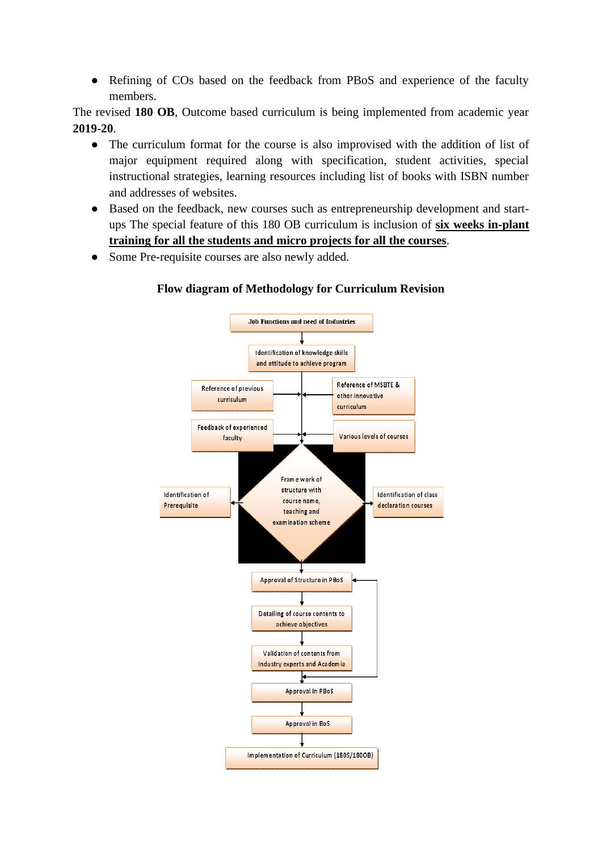• Refining of COs based on the feedback from PBoS and experience of the faculty members.

The revised **180 OB**, Outcome based curriculum is being implemented from academic year **2019-20**.

- The curriculum format for the course is also improvised with the addition of list of major equipment required along with specification, student activities, special instructional strategies, learning resources including list of books with ISBN number and addresses of websites.
- Based on the feedback, new courses such as entrepreneurship development and startups The special feature of this 180 OB curriculum is inclusion of **six weeks in-plant training for all the students and micro projects for all the courses**.
- Some Pre-requisite courses are also newly added.



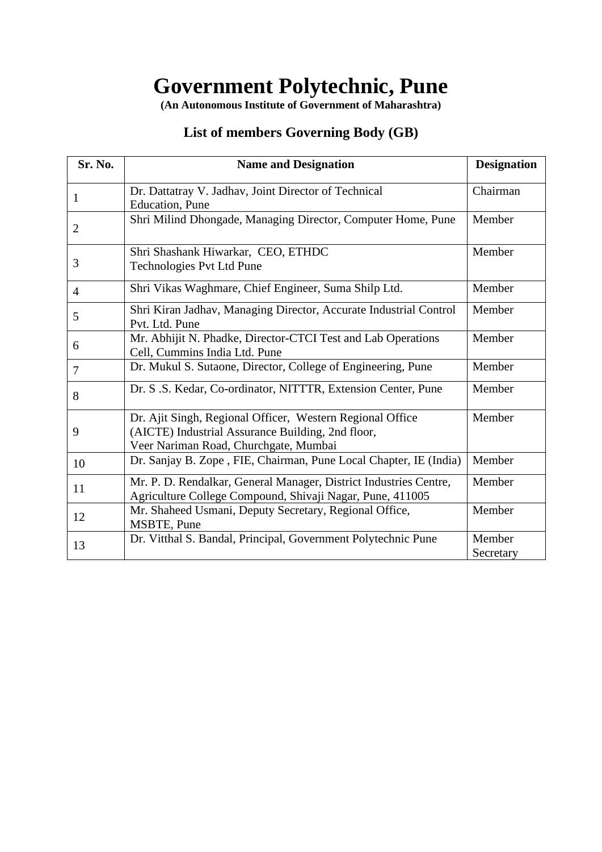# **Government Polytechnic, Pune**

**(An Autonomous Institute of Government of Maharashtra)**

# **List of members Governing Body (GB)**

| Sr. No.        | <b>Name and Designation</b>                                                                                                                             | <b>Designation</b>  |
|----------------|---------------------------------------------------------------------------------------------------------------------------------------------------------|---------------------|
| 1              | Dr. Dattatray V. Jadhav, Joint Director of Technical<br><b>Education</b> , Pune                                                                         | Chairman            |
| $\overline{2}$ | Shri Milind Dhongade, Managing Director, Computer Home, Pune                                                                                            | Member              |
| 3              | Shri Shashank Hiwarkar, CEO, ETHDC<br><b>Technologies Pvt Ltd Pune</b>                                                                                  | Member              |
| 4              | Shri Vikas Waghmare, Chief Engineer, Suma Shilp Ltd.                                                                                                    | Member              |
| 5              | Shri Kiran Jadhav, Managing Director, Accurate Industrial Control<br>Pvt. Ltd. Pune                                                                     | Member              |
| 6              | Mr. Abhijit N. Phadke, Director-CTCI Test and Lab Operations<br>Cell, Cummins India Ltd. Pune                                                           | Member              |
| 7              | Dr. Mukul S. Sutaone, Director, College of Engineering, Pune                                                                                            | Member              |
| 8              | Dr. S.S. Kedar, Co-ordinator, NITTTR, Extension Center, Pune                                                                                            | Member              |
| 9              | Dr. Ajit Singh, Regional Officer, Western Regional Office<br>(AICTE) Industrial Assurance Building, 2nd floor,<br>Veer Nariman Road, Churchgate, Mumbai | Member              |
| 10             | Dr. Sanjay B. Zope, FIE, Chairman, Pune Local Chapter, IE (India)                                                                                       | Member              |
| 11             | Mr. P. D. Rendalkar, General Manager, District Industries Centre,<br>Agriculture College Compound, Shivaji Nagar, Pune, 411005                          | Member              |
| 12             | Mr. Shaheed Usmani, Deputy Secretary, Regional Office,<br>MSBTE, Pune                                                                                   | Member              |
| 13             | Dr. Vitthal S. Bandal, Principal, Government Polytechnic Pune                                                                                           | Member<br>Secretary |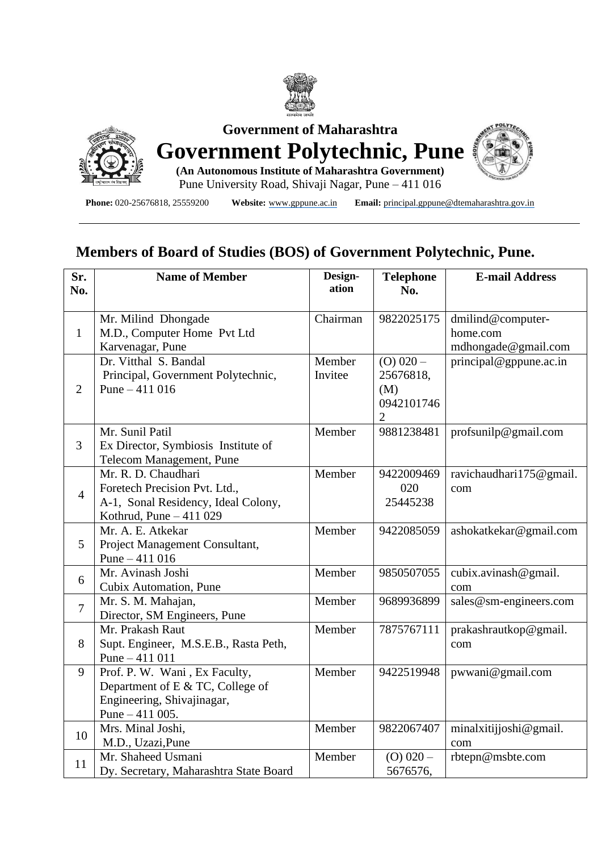



**Government of Maharashtra**



**(An Autonomous Institute of Maharashtra Government)** Pune University Road, Shivaji Nagar, Pune – 411 016

**Phone:** 020-25676818, 25559200 **Website:** [www.gppune.ac.in](http://www.gppune.ac.in/) **Email:** [principal.gppune@dtemaharashtra.gov.in](mailto:principal.gppune@dtemaharashtra.gov.in)

# **Members of Board of Studies (BOS) of Government Polytechnic, Pune.**

| Sr.            | <b>Name of Member</b>                                                                                                  | Design-           | <b>Telephone</b>                              | <b>E-mail Address</b>                                |
|----------------|------------------------------------------------------------------------------------------------------------------------|-------------------|-----------------------------------------------|------------------------------------------------------|
| No.            |                                                                                                                        | ation             | No.                                           |                                                      |
| $\mathbf{1}$   | Mr. Milind Dhongade<br>M.D., Computer Home Pvt Ltd<br>Karvenagar, Pune                                                 | Chairman          | 9822025175                                    | dmilind@computer-<br>home.com<br>mdhongade@gmail.com |
| $\overline{2}$ | Dr. Vitthal S. Bandal<br>Principal, Government Polytechnic,<br>Pune $-411016$                                          | Member<br>Invitee | $(O)$ 020 -<br>25676818,<br>(M)<br>0942101746 | principal@gppune.ac.in                               |
| 3              | Mr. Sunil Patil<br>Ex Director, Symbiosis Institute of<br>Telecom Management, Pune                                     | Member            | 9881238481                                    | profsunilp@gmail.com                                 |
| $\overline{4}$ | Mr. R. D. Chaudhari<br>Foretech Precision Pvt. Ltd.,<br>A-1, Sonal Residency, Ideal Colony,<br>Kothrud, Pune - 411 029 | Member            | 9422009469<br>020<br>25445238                 | ravichaudhari175@gmail.<br>com                       |
| 5              | Mr. A. E. Atkekar<br>Project Management Consultant,<br>Pune $-411016$                                                  | Member            | 9422085059                                    | ashokatkekar@gmail.com                               |
| 6              | Mr. Avinash Joshi<br>Cubix Automation, Pune                                                                            | Member            | 9850507055                                    | cubix.avinash@gmail.<br>com                          |
| $\overline{7}$ | Mr. S. M. Mahajan,<br>Director, SM Engineers, Pune                                                                     | Member            | 9689936899                                    | sales@sm-engineers.com                               |
| 8              | Mr. Prakash Raut<br>Supt. Engineer, M.S.E.B., Rasta Peth,<br>Pune $-411011$                                            | Member            | 7875767111                                    | prakashrautkop@gmail.<br>com                         |
| 9              | Prof. P. W. Wani, Ex Faculty,<br>Department of E & TC, College of<br>Engineering, Shivajinagar,<br>Pune $-411$ 005.    | Member            | 9422519948                                    | pwwani@gmail.com                                     |
| 10             | Mrs. Minal Joshi,<br>M.D., Uzazi, Pune                                                                                 | Member            | 9822067407                                    | minalxitijjoshi@gmail.<br>com                        |
| 11             | Mr. Shaheed Usmani<br>Dy. Secretary, Maharashtra State Board                                                           | Member            | $(O)$ 020 -<br>5676576,                       | rbtepn@msbte.com                                     |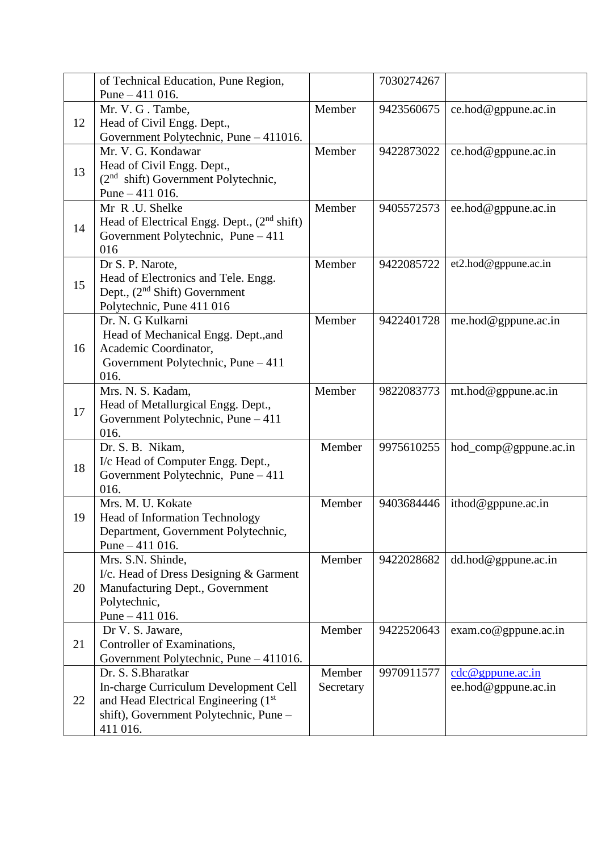|    | of Technical Education, Pune Region,          |           | 7030274267 |                                    |
|----|-----------------------------------------------|-----------|------------|------------------------------------|
|    | Pune $-411$ 016.                              |           |            |                                    |
|    | Mr. V. G. Tambe,                              | Member    | 9423560675 | ce.hod@gppune.ac.in                |
| 12 | Head of Civil Engg. Dept.,                    |           |            |                                    |
|    | Government Polytechnic, Pune - 411016.        |           |            |                                    |
|    | Mr. V. G. Kondawar                            | Member    | 9422873022 | ce.hod@gppune.ac.in                |
|    | Head of Civil Engg. Dept.,                    |           |            |                                    |
| 13 | $(2nd shift) Government Polytechnic,$         |           |            |                                    |
|    | Pune $-411$ 016.                              |           |            |                                    |
|    | Mr R.U. Shelke                                | Member    | 9405572573 | ee.hod@gppune.ac.in                |
|    | Head of Electrical Engg. Dept., $(2nd shift)$ |           |            |                                    |
| 14 |                                               |           |            |                                    |
|    | Government Polytechnic, Pune $-411$           |           |            |                                    |
|    | 016                                           |           |            |                                    |
|    | Dr S. P. Narote,                              | Member    | 9422085722 | et2.hod@gppune.ac.in               |
| 15 | Head of Electronics and Tele. Engg.           |           |            |                                    |
|    | Dept., $(2nd Shift) Government$               |           |            |                                    |
|    | Polytechnic, Pune 411 016                     |           |            |                                    |
|    | Dr. N. G Kulkarni                             | Member    | 9422401728 | me.hod@gppune.ac.in                |
|    | Head of Mechanical Engg. Dept., and           |           |            |                                    |
| 16 | Academic Coordinator,                         |           |            |                                    |
|    | Government Polytechnic, Pune - 411            |           |            |                                    |
|    | 016.                                          |           |            |                                    |
|    | Mrs. N. S. Kadam,                             | Member    | 9822083773 | $mt.hod@$ gppune.ac.in             |
| 17 | Head of Metallurgical Engg. Dept.,            |           |            |                                    |
|    | Government Polytechnic, Pune - 411            |           |            |                                    |
|    | 016.                                          |           |            |                                    |
|    | Dr. S. B. Nikam,                              | Member    | 9975610255 | hod_comp@gppune.ac.in              |
| 18 | I/c Head of Computer Engg. Dept.,             |           |            |                                    |
|    | Government Polytechnic, Pune $-411$           |           |            |                                    |
|    | 016.                                          |           |            |                                    |
|    | Mrs. M. U. Kokate                             | Member    | 9403684446 | ithod@gppune.ac.in                 |
| 19 | <b>Head of Information Technology</b>         |           |            |                                    |
|    | Department, Government Polytechnic,           |           |            |                                    |
|    | Pune $-411$ 016.                              |           |            |                                    |
|    | Mrs. S.N. Shinde,                             | Member    | 9422028682 | dd.hod@gppune.ac.in                |
| 20 | I/c. Head of Dress Designing & Garment        |           |            |                                    |
|    | Manufacturing Dept., Government               |           |            |                                    |
|    | Polytechnic,                                  |           |            |                                    |
|    | Pune $-411$ 016.                              |           |            |                                    |
|    | Dr V. S. Jaware,                              | Member    | 9422520643 | exam.co@gppune.ac.in               |
| 21 | Controller of Examinations,                   |           |            |                                    |
|    | Government Polytechnic, Pune - 411016.        |           |            |                                    |
|    | Dr. S. S. Bharatkar                           | Member    | 9970911577 | $\text{cdc} @ \text{gppune.ac.in}$ |
|    | In-charge Curriculum Development Cell         | Secretary |            | ee.hod@gppune.ac.in                |
| 22 | and Head Electrical Engineering (1st          |           |            |                                    |
|    | shift), Government Polytechnic, Pune -        |           |            |                                    |
|    | 411 016.                                      |           |            |                                    |
|    |                                               |           |            |                                    |